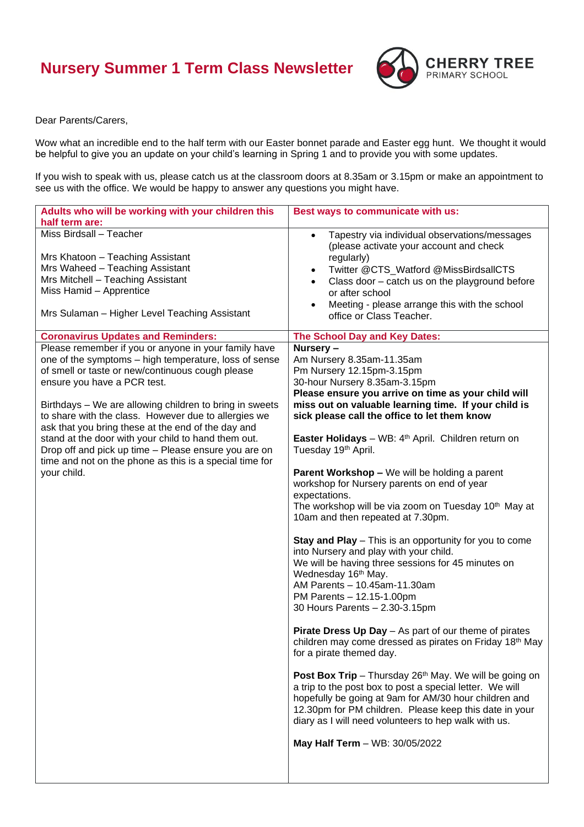## **Nursery Summer 1 Term Class Newsletter**



Dear Parents/Carers,

Wow what an incredible end to the half term with our Easter bonnet parade and Easter egg hunt. We thought it would be helpful to give you an update on your child's learning in Spring 1 and to provide you with some updates.

If you wish to speak with us, please catch us at the classroom doors at 8.35am or 3.15pm or make an appointment to see us with the office. We would be happy to answer any questions you might have.

| Adults who will be working with your children this<br>half term are:                                                                                                                                                                                                                                                                                                                                                                                                                                                                                               | Best ways to communicate with us:                                                                                                                                                                                                                                                                                                                                                                                                                                                                                                                                                                                                                                                                                                                                                                                                                                                                                                                                                                                                                                                                                                                                                                                                                                                                                                                                                                                   |
|--------------------------------------------------------------------------------------------------------------------------------------------------------------------------------------------------------------------------------------------------------------------------------------------------------------------------------------------------------------------------------------------------------------------------------------------------------------------------------------------------------------------------------------------------------------------|---------------------------------------------------------------------------------------------------------------------------------------------------------------------------------------------------------------------------------------------------------------------------------------------------------------------------------------------------------------------------------------------------------------------------------------------------------------------------------------------------------------------------------------------------------------------------------------------------------------------------------------------------------------------------------------------------------------------------------------------------------------------------------------------------------------------------------------------------------------------------------------------------------------------------------------------------------------------------------------------------------------------------------------------------------------------------------------------------------------------------------------------------------------------------------------------------------------------------------------------------------------------------------------------------------------------------------------------------------------------------------------------------------------------|
| Miss Birdsall - Teacher<br>Mrs Khatoon - Teaching Assistant<br>Mrs Waheed - Teaching Assistant<br>Mrs Mitchell - Teaching Assistant<br>Miss Hamid - Apprentice<br>Mrs Sulaman - Higher Level Teaching Assistant                                                                                                                                                                                                                                                                                                                                                    | Tapestry via individual observations/messages<br>$\bullet$<br>(please activate your account and check<br>regularly)<br>Twitter @CTS_Watford @MissBirdsallCTS<br>$\bullet$<br>Class door - catch us on the playground before<br>$\bullet$<br>or after school<br>Meeting - please arrange this with the school<br>$\bullet$<br>office or Class Teacher.                                                                                                                                                                                                                                                                                                                                                                                                                                                                                                                                                                                                                                                                                                                                                                                                                                                                                                                                                                                                                                                               |
| <b>Coronavirus Updates and Reminders:</b>                                                                                                                                                                                                                                                                                                                                                                                                                                                                                                                          | The School Day and Key Dates:                                                                                                                                                                                                                                                                                                                                                                                                                                                                                                                                                                                                                                                                                                                                                                                                                                                                                                                                                                                                                                                                                                                                                                                                                                                                                                                                                                                       |
| Please remember if you or anyone in your family have<br>one of the symptoms - high temperature, loss of sense<br>of smell or taste or new/continuous cough please<br>ensure you have a PCR test.<br>Birthdays - We are allowing children to bring in sweets<br>to share with the class. However due to allergies we<br>ask that you bring these at the end of the day and<br>stand at the door with your child to hand them out.<br>Drop off and pick up time - Please ensure you are on<br>time and not on the phone as this is a special time for<br>your child. | Nursery -<br>Am Nursery 8.35am-11.35am<br>Pm Nursery 12.15pm-3.15pm<br>30-hour Nursery 8.35am-3.15pm<br>Please ensure you arrive on time as your child will<br>miss out on valuable learning time. If your child is<br>sick please call the office to let them know<br>Easter Holidays - WB: 4 <sup>th</sup> April. Children return on<br>Tuesday 19th April.<br><b>Parent Workshop - We will be holding a parent</b><br>workshop for Nursery parents on end of year<br>expectations.<br>The workshop will be via zoom on Tuesday 10 <sup>th</sup> May at<br>10am and then repeated at 7.30pm.<br><b>Stay and Play</b> – This is an opportunity for you to come<br>into Nursery and play with your child.<br>We will be having three sessions for 45 minutes on<br>Wednesday 16 <sup>th</sup> May.<br>AM Parents - 10.45am-11.30am<br>PM Parents - 12.15-1.00pm<br>30 Hours Parents - 2.30-3.15pm<br><b>Pirate Dress Up Day</b> - As part of our theme of pirates<br>children may come dressed as pirates on Friday 18 <sup>th</sup> May<br>for a pirate themed day.<br>Post Box Trip - Thursday 26 <sup>th</sup> May. We will be going on<br>a trip to the post box to post a special letter. We will<br>hopefully be going at 9am for AM/30 hour children and<br>12.30pm for PM children. Please keep this date in your<br>diary as I will need volunteers to hep walk with us.<br>May Half Term - WB: 30/05/2022 |